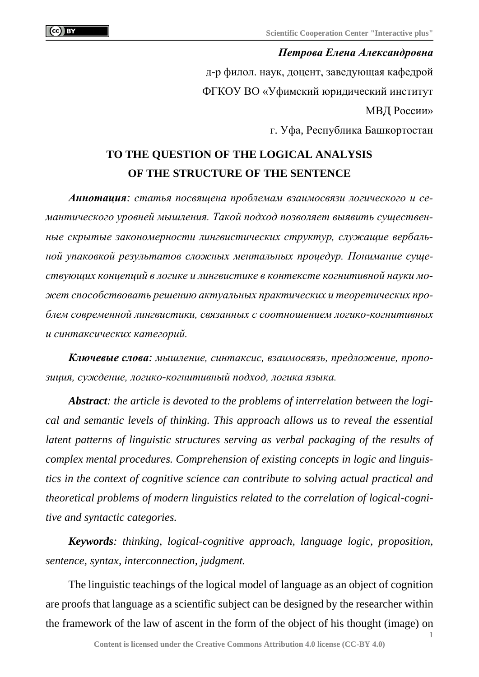## *Петрова Елена Александровна*

д-р филол. наук, доцент, заведующая кафедрой ФГКОУ ВО «Уфимский юридический институт МВД России»

г. Уфа, Республика Башкортостан

## **TO THE QUESTION OF THE LOGICAL ANALYSIS OF THE STRUCTURE OF THE SENTENCE**

*Аннотация: статья посвящена проблемам взаимосвязи логического и семантического уровней мышления. Такой подход позволяет выявить существенные скрытые закономерности лингвистических структур, служащие вербальной упаковкой результатов сложных ментальных процедур. Понимание существующих концепций в логике и лингвистике в контексте когнитивной науки может способствовать решению актуальных практических и теоретических проблем современной лингвистики, связанных с соотношением логико-когнитивных и синтаксических категорий.*

*Ключевые слова: мышление, синтаксис, взаимосвязь, предложение, пропозиция, суждение, логико-когнитивный подход, логика языка.*

*Abstract: the article is devoted to the problems of interrelation between the logical and semantic levels of thinking. This approach allows us to reveal the essential latent patterns of linguistic structures serving as verbal packaging of the results of complex mental procedures. Comprehension of existing concepts in logic and linguistics in the context of cognitive science can contribute to solving actual practical and theoretical problems of modern linguistics related to the correlation of logical-cognitive and syntactic categories.*

*Keywords: thinking, logical-cognitive approach, language logic, proposition, sentence, syntax, interconnection, judgment.*

The linguistic teachings of the logical model of language as an object of cognition are proofs that language as a scientific subject can be designed by the researcher within the framework of the law of ascent in the form of the object of his thought (image) on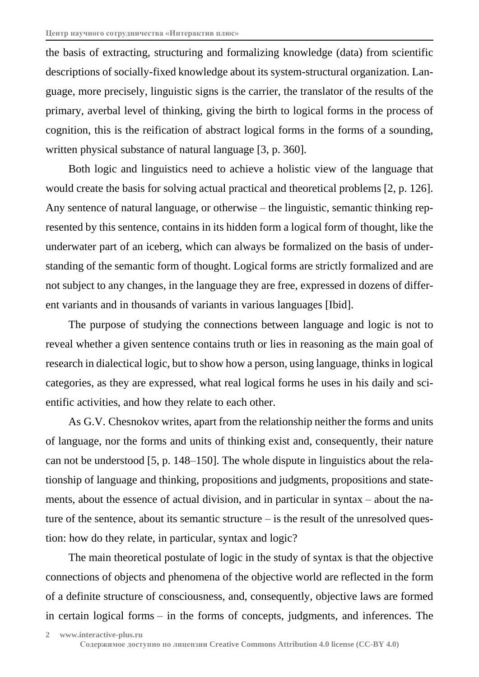the basis of extracting, structuring and formalizing knowledge (data) from scientific descriptions of socially-fixed knowledge about its system-structural organization. Language, more precisely, linguistic signs is the carrier, the translator of the results of the primary, averbal level of thinking, giving the birth to logical forms in the process of cognition, this is the reification of abstract logical forms in the forms of a sounding, written physical substance of natural language [3, p. 360].

Both logic and linguistics need to achieve a holistic view of the language that would create the basis for solving actual practical and theoretical problems [2, p. 126]. Any sentence of natural language, or otherwise – the linguistic, semantic thinking represented by this sentence, contains in its hidden form a logical form of thought, like the underwater part of an iceberg, which can always be formalized on the basis of understanding of the semantic form of thought. Logical forms are strictly formalized and are not subject to any changes, in the language they are free, expressed in dozens of different variants and in thousands of variants in various languages [Ibid].

The purpose of studying the connections between language and logic is not to reveal whether a given sentence contains truth or lies in reasoning as the main goal of research in dialectical logic, but to show how a person, using language, thinks in logical categories, as they are expressed, what real logical forms he uses in his daily and scientific activities, and how they relate to each other.

As G.V. Chesnokov writes, apart from the relationship neither the forms and units of language, nor the forms and units of thinking exist and, consequently, their nature can not be understood [5, p. 148–150]. The whole dispute in linguistics about the relationship of language and thinking, propositions and judgments, propositions and statements, about the essence of actual division, and in particular in syntax – about the nature of the sentence, about its semantic structure – is the result of the unresolved question: how do they relate, in particular, syntax and logic?

The main theoretical postulate of logic in the study of syntax is that the objective connections of objects and phenomena of the objective world are reflected in the form of a definite structure of consciousness, and, consequently, objective laws are formed in certain logical forms – in the forms of concepts, judgments, and inferences. The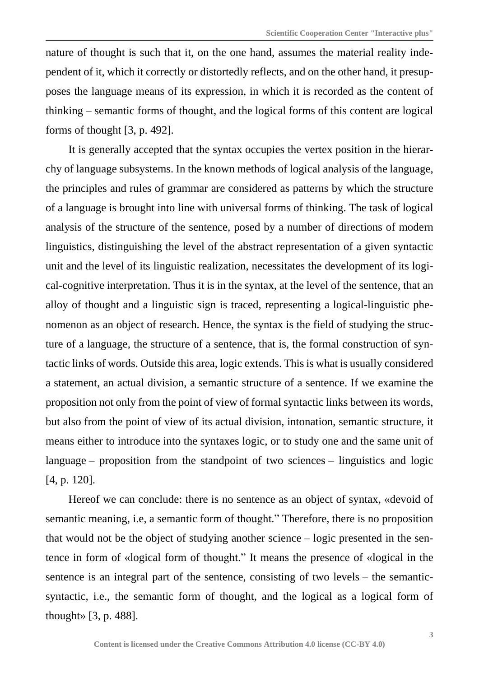nature of thought is such that it, on the one hand, assumes the material reality independent of it, which it correctly or distortedly reflects, and on the other hand, it presupposes the language means of its expression, in which it is recorded as the content of thinking – semantic forms of thought, and the logical forms of this content are logical forms of thought [3, p. 492].

It is generally accepted that the syntax occupies the vertex position in the hierarchy of language subsystems. In the known methods of logical analysis of the language, the principles and rules of grammar are considered as patterns by which the structure of a language is brought into line with universal forms of thinking. The task of logical analysis of the structure of the sentence, posed by a number of directions of modern linguistics, distinguishing the level of the abstract representation of a given syntactic unit and the level of its linguistic realization, necessitates the development of its logical-cognitive interpretation. Thus it is in the syntax, at the level of the sentence, that an alloy of thought and a linguistic sign is traced, representing a logical-linguistic phenomenon as an object of research. Hence, the syntax is the field of studying the structure of a language, the structure of a sentence, that is, the formal construction of syntactic links of words. Outside this area, logic extends. This is what is usually considered a statement, an actual division, a semantic structure of a sentence. If we examine the proposition not only from the point of view of formal syntactic links between its words, but also from the point of view of its actual division, intonation, semantic structure, it means either to introduce into the syntaxes logic, or to study one and the same unit of language – proposition from the standpoint of two sciences – linguistics and logic [4, p. 120].

Hereof we can conclude: there is no sentence as an object of syntax, «devoid of semantic meaning, i.e, a semantic form of thought." Therefore, there is no proposition that would not be the object of studying another science – logic presented in the sentence in form of «logical form of thought." It means the presence of «logical in the sentence is an integral part of the sentence, consisting of two levels – the semanticsyntactic, i.e., the semantic form of thought, and the logical as a logical form of thought» [3, p. 488].